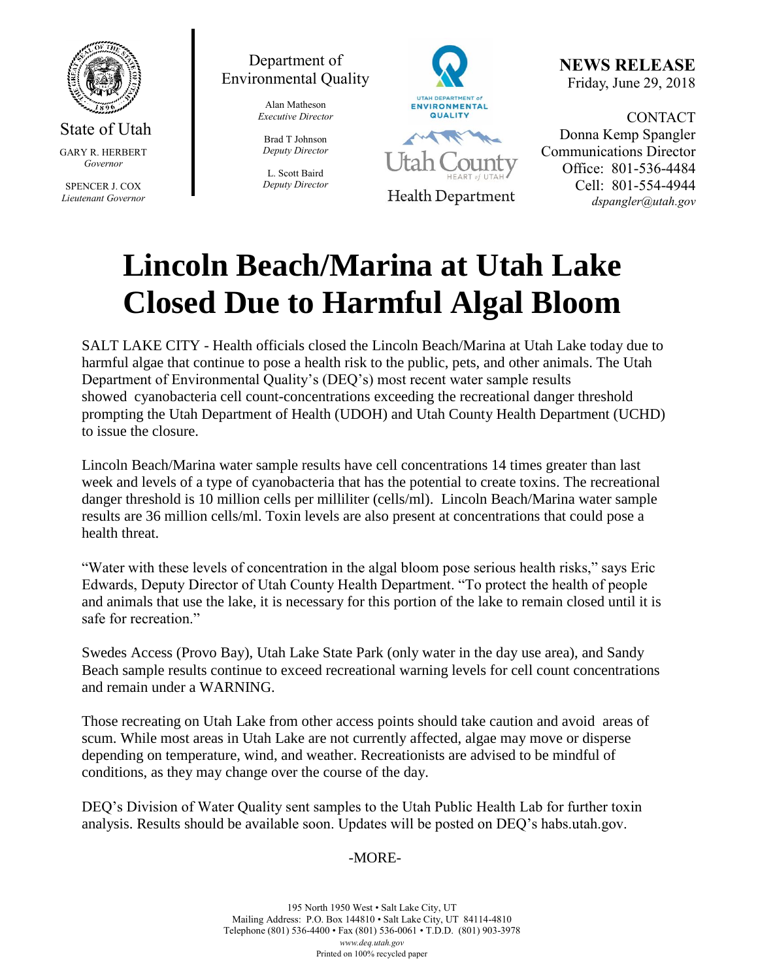

State of Utah GARY R. HERBERT *Governor*

SPENCER J. COX *Lieutenant Governor*



Alan Matheson *Executive Director*

Brad T Johnson *Deputy Director*

L. Scott Baird *Deputy Director*



**NEWS RELEASE** Friday, June 29, 2018

CONTACT Donna Kemp Spangler Communications Director Office: 801-536-4484 Cell: 801-554-4944 *dspangler@utah.gov*

## **Lincoln Beach/Marina at Utah Lake Closed Due to Harmful Algal Bloom**

SALT LAKE CITY - Health officials closed the Lincoln Beach/Marina at Utah Lake today due to harmful algae that continue to pose a health risk to the public, pets, and other animals. The Utah Department of Environmental Quality's (DEQ's) most recent water sample results showed cyanobacteria cell count-concentrations exceeding the recreational danger threshold prompting the Utah Department of Health (UDOH) and Utah County Health Department (UCHD) to issue the closure.

Lincoln Beach/Marina water sample results have cell concentrations 14 times greater than last week and levels of a type of cyanobacteria that has the potential to create toxins. The recreational danger threshold is 10 million cells per milliliter (cells/ml). Lincoln Beach/Marina water sample results are 36 million cells/ml. Toxin levels are also present at concentrations that could pose a health threat.

"Water with these levels of concentration in the algal bloom pose serious health risks," says Eric Edwards, Deputy Director of Utah County Health Department. "To protect the health of people and animals that use the lake, it is necessary for this portion of the lake to remain closed until it is safe for recreation."

Swedes Access (Provo Bay), Utah Lake State Park (only water in the day use area), and Sandy Beach sample results continue to exceed recreational warning levels for cell count concentrations and remain under a WARNING.

Those recreating on Utah Lake from other access points should take caution and avoid areas of scum. While most areas in Utah Lake are not currently affected, algae may move or disperse depending on temperature, wind, and weather. Recreationists are advised to be mindful of conditions, as they may change over the course of the day.

DEQ's Division of Water Quality sent samples to the Utah Public Health Lab for further toxin analysis. Results should be available soon. Updates will be posted on DEQ's habs.utah.gov.

## -MORE-